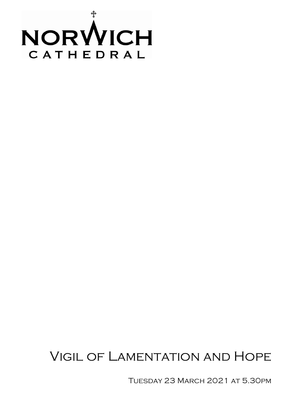

# Vigil of Lamentation and Hope

Tuesday 23 March 2021 at 5.30pm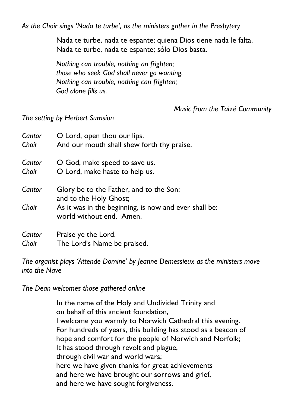*As the Choir sings 'Nada te turbe', as the ministers gather in the Presbytery*

Nada te turbe, nada te espante; quiena Dios tiene nada le falta. Nada te turbe, nada te espante; sólo Dios basta.

*Nothing can trouble, nothing an frighten; those who seek God shall never go wanting. Nothing can trouble, nothing can frighten; God alone fills us.*

*Music from the Taizé Community*

*The setting by Herbert Sumsion*

| Cantor | O Lord, open thou our lips.                                                       |
|--------|-----------------------------------------------------------------------------------|
| Choir  | And our mouth shall shew forth thy praise.                                        |
| Cantor | O God, make speed to save us.                                                     |
| Choir  | O Lord, make haste to help us.                                                    |
| Cantor | Glory be to the Father, and to the Son:<br>and to the Holy Ghost;                 |
| Choir  | As it was in the beginning, is now and ever shall be:<br>world without end. Amen. |
| Cantor | Praise ye the Lord.                                                               |
| Choir  | The Lord's Name be praised.                                                       |

*The organist plays 'Attende Domine' by Jeanne Demessieux as the ministers move into the Nave*

*The Dean welcomes those gathered online*

In the name of the Holy and Undivided Trinity and on behalf of this ancient foundation, I welcome you warmly to Norwich Cathedral this evening. For hundreds of years, this building has stood as a beacon of hope and comfort for the people of Norwich and Norfolk; It has stood through revolt and plague, through civil war and world wars; here we have given thanks for great achievements and here we have brought our sorrows and grief, and here we have sought forgiveness.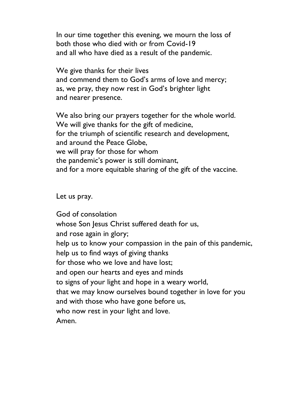In our time together this evening, we mourn the loss of both those who died with or from Covid-19 and all who have died as a result of the pandemic.

We give thanks for their lives and commend them to God's arms of love and mercy; as, we pray, they now rest in God's brighter light and nearer presence.

We also bring our prayers together for the whole world. We will give thanks for the gift of medicine, for the triumph of scientific research and development, and around the Peace Globe, we will pray for those for whom the pandemic's power is still dominant, and for a more equitable sharing of the gift of the vaccine.

Let us pray.

God of consolation whose Son Jesus Christ suffered death for us, and rose again in glory; help us to know your compassion in the pain of this pandemic, help us to find ways of giving thanks for those who we love and have lost; and open our hearts and eyes and minds to signs of your light and hope in a weary world, that we may know ourselves bound together in love for you and with those who have gone before us, who now rest in your light and love. Amen.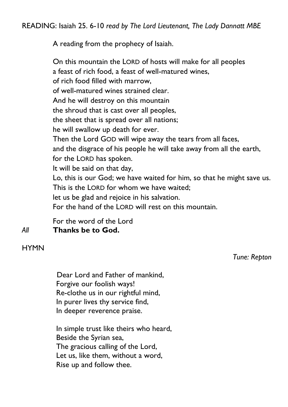A reading from the prophecy of Isaiah.

On this mountain the LORD of hosts will make for all peoples a feast of rich food, a feast of well-matured wines, of rich food filled with marrow, of well-matured wines strained clear. And he will destroy on this mountain the shroud that is cast over all peoples, the sheet that is spread over all nations; he will swallow up death for ever. Then the Lord GOD will wipe away the tears from all faces, and the disgrace of his people he will take away from all the earth, for the LORD has spoken. It will be said on that day, Lo, this is our God; we have waited for him, so that he might save us. This is the LORD for whom we have waited; let us be glad and rejoice in his salvation. For the hand of the LORD will rest on this mountain.

For the word of the Lord *All* **Thanks be to God.**

**HYMN** 

*Tune: Repton*

Dear Lord and Father of mankind, Forgive our foolish ways! Re-clothe us in our rightful mind, In purer lives thy service find, In deeper reverence praise.

In simple trust like theirs who heard, Beside the Syrian sea, The gracious calling of the Lord, Let us, like them, without a word, Rise up and follow thee.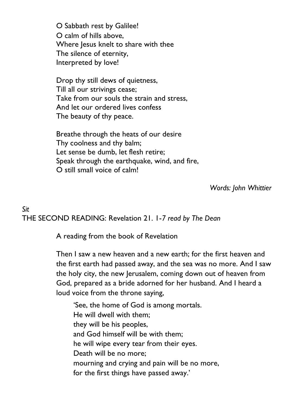O Sabbath rest by Galilee! O calm of hills above, Where Jesus knelt to share with thee The silence of eternity, Interpreted by love!

Drop thy still dews of quietness, Till all our strivings cease; Take from our souls the strain and stress, And let our ordered lives confess The beauty of thy peace.

Breathe through the heats of our desire Thy coolness and thy balm; Let sense be dumb, let flesh retire; Speak through the earthquake, wind, and fire, O still small voice of calm!

*Words: John Whittier*

*Sit*

THE SECOND READING: Revelation 21. 1-*7 read by The Dean*

A reading from the book of Revelation

Then I saw a new heaven and a new earth; for the first heaven and the first earth had passed away, and the sea was no more. And I saw the holy city, the new Jerusalem, coming down out of heaven from God, prepared as a bride adorned for her husband. And I heard a loud voice from the throne saying,

'See, the home of God is among mortals. He will dwell with them; they will be his peoples, and God himself will be with them; he will wipe every tear from their eyes. Death will be no more; mourning and crying and pain will be no more, for the first things have passed away.'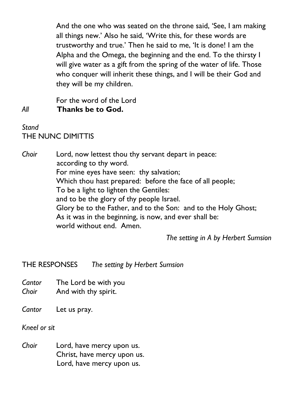And the one who was seated on the throne said, 'See, I am making all things new.' Also he said, 'Write this, for these words are trustworthy and true.' Then he said to me, 'It is done! I am the Alpha and the Omega, the beginning and the end. To the thirsty I will give water as a gift from the spring of the water of life. Those who conquer will inherit these things, and I will be their God and they will be my children.

For the word of the Lord *All* **Thanks be to God.**

*Stand* THE NUNC DIMITTIS

*Choir* Lord, now lettest thou thy servant depart in peace: according to thy word. For mine eyes have seen: thy salvation; Which thou hast prepared: before the face of all people; To be a light to lighten the Gentiles: and to be the glory of thy people Israel. Glory be to the Father, and to the Son: and to the Holy Ghost; As it was in the beginning, is now, and ever shall be: world without end. Amen.

*The setting in A by Herbert Sumsion*

THE RESPONSES *The setting by Herbert Sumsion*

*Cantor* The Lord be with you *Choir* **And with thy spirit.** 

*Cantor* Let us pray.

*Kneel or sit*

*Choir* Lord, have mercy upon us. Christ, have mercy upon us. Lord, have mercy upon us.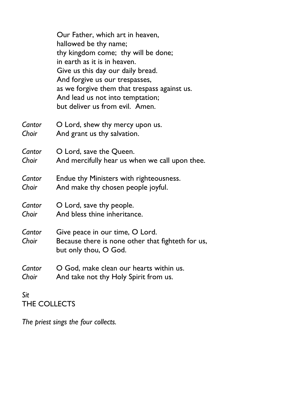|                 | Our Father, which art in heaven,<br>hallowed be thy name;<br>thy kingdom come; thy will be done;<br>in earth as it is in heaven.<br>Give us this day our daily bread.<br>And forgive us our trespasses,<br>as we forgive them that trespass against us.<br>And lead us not into temptation;<br>but deliver us from evil. Amen. |
|-----------------|--------------------------------------------------------------------------------------------------------------------------------------------------------------------------------------------------------------------------------------------------------------------------------------------------------------------------------|
| Cantor          | O Lord, shew thy mercy upon us.                                                                                                                                                                                                                                                                                                |
| Choir           | And grant us thy salvation.                                                                                                                                                                                                                                                                                                    |
| Cantor          | O Lord, save the Queen.                                                                                                                                                                                                                                                                                                        |
| Choir           | And mercifully hear us when we call upon thee.                                                                                                                                                                                                                                                                                 |
| Cantor          | Endue thy Ministers with righteousness.                                                                                                                                                                                                                                                                                        |
| Choir           | And make thy chosen people joyful.                                                                                                                                                                                                                                                                                             |
| Cantor          | O Lord, save thy people.                                                                                                                                                                                                                                                                                                       |
| Choir           | And bless thine inheritance.                                                                                                                                                                                                                                                                                                   |
| Cantor<br>Choir | Give peace in our time, O Lord.<br>Because there is none other that fighteth for us,<br>but only thou, O God.                                                                                                                                                                                                                  |
| Cantor          | O God, make clean our hearts within us.                                                                                                                                                                                                                                                                                        |
| Choir           | And take not thy Holy Spirit from us.                                                                                                                                                                                                                                                                                          |
| Sit             |                                                                                                                                                                                                                                                                                                                                |

THE COLLECTS

*The priest sings the four collects.*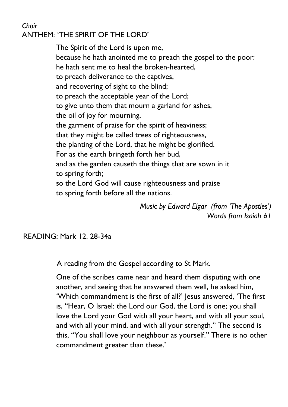#### *Choir* ANTHEM: 'THE SPIRIT OF THE LORD'

The Spirit of the Lord is upon me, because he hath anointed me to preach the gospel to the poor: he hath sent me to heal the broken-hearted, to preach deliverance to the captives, and recovering of sight to the blind; to preach the acceptable year of the Lord; to give unto them that mourn a garland for ashes, the oil of joy for mourning, the garment of praise for the spirit of heaviness; that they might be called trees of righteousness, the planting of the Lord, that he might be glorified. For as the earth bringeth forth her bud, and as the garden causeth the things that are sown in it to spring forth; so the Lord God will cause righteousness and praise to spring forth before all the nations.

> *Music by Edward Elgar (from 'The Apostles') Words from Isaiah 61*

READING: Mark 12. 28-34a

A reading from the Gospel according to St Mark.

One of the scribes came near and heard them disputing with one another, and seeing that he answered them well, he asked him, 'Which commandment is the first of all?' Jesus answered, 'The first is, "Hear, O Israel: the Lord our God, the Lord is one; you shall love the Lord your God with all your heart, and with all your soul, and with all your mind, and with all your strength." The second is this, "You shall love your neighbour as yourself." There is no other commandment greater than these.'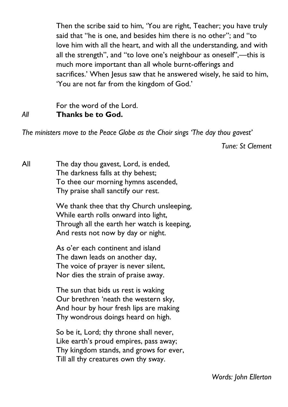Then the scribe said to him, 'You are right, Teacher; you have truly said that "he is one, and besides him there is no other"; and "to love him with all the heart, and with all the understanding, and with all the strength", and "to love one's neighbour as oneself",—this is much more important than all whole burnt-offerings and sacrifices.' When Jesus saw that he answered wisely, he said to him, 'You are not far from the kingdom of God.'

### For the word of the Lord. *All* **Thanks be to God.**

*The ministers move to the Peace Globe as the Choir sings 'The day thou gavest'*

*Tune: St Clement* 

All The day thou gavest, Lord, is ended, The darkness falls at thy behest; To thee our morning hymns ascended, Thy praise shall sanctify our rest.

> We thank thee that thy Church unsleeping, While earth rolls onward into light, Through all the earth her watch is keeping, And rests not now by day or night.

As o'er each continent and island The dawn leads on another day, The voice of prayer is never silent, Nor dies the strain of praise away.

The sun that bids us rest is waking Our brethren 'neath the western sky, And hour by hour fresh lips are making Thy wondrous doings heard on high.

So be it, Lord; thy throne shall never, Like earth's proud empires, pass away; Thy kingdom stands, and grows for ever, Till all thy creatures own thy sway.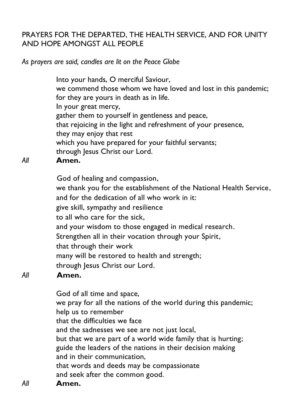# PRAYERS FOR THE DEPARTED, THE HEALTH SERVICE, AND FOR UNITY AND HOPE AMONGST ALL PEOPLE

*As prayers are said, candles are lit on the Peace Globe*

Into your hands, O merciful Saviour, we commend those whom we have loved and lost in this pandemic; for they are yours in death as in life. In your great mercy, gather them to yourself in gentleness and peace, that rejoicing in the light and refreshment of your presence, they may enjoy that rest which you have prepared for your faithful servants; through Jesus Christ our Lord.

## *All* **Amen.**

God of healing and compassion, we thank you for the establishment of the National Health Service, and for the dedication of all who work in it: give skill, sympathy and resilience to all who care for the sick, and your wisdom to those engaged in medical research. Strengthen all in their vocation through your Spirit, that through their work many will be restored to health and strength; through Jesus Christ our Lord.

# *All* **Amen.**

God of all time and space, we pray for all the nations of the world during this pandemic; help us to remember that the difficulties we face and the sadnesses we see are not just local, but that we are part of a world wide family that is hurting; guide the leaders of the nations in their decision making and in their communication, that words and deeds may be compassionate and seek after the common good. *All* **Amen.**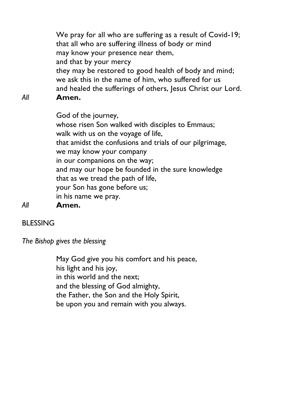We pray for all who are suffering as a result of Covid-19; that all who are suffering illness of body or mind may know your presence near them, and that by your mercy they may be restored to good health of body and mind; we ask this in the name of him, who suffered for us and healed the sufferings of others, Jesus Christ our Lord.

*All* **Amen.**

God of the journey, whose risen Son walked with disciples to Emmaus; walk with us on the voyage of life, that amidst the confusions and trials of our pilgrimage, we may know your company in our companions on the way; and may our hope be founded in the sure knowledge that as we tread the path of life, your Son has gone before us; in his name we pray. *All* **Amen.**

## BLESSING

*The Bishop gives the blessing*

May God give you his comfort and his peace, his light and his joy, in this world and the next; and the blessing of God almighty, the Father, the Son and the Holy Spirit, be upon you and remain with you always.